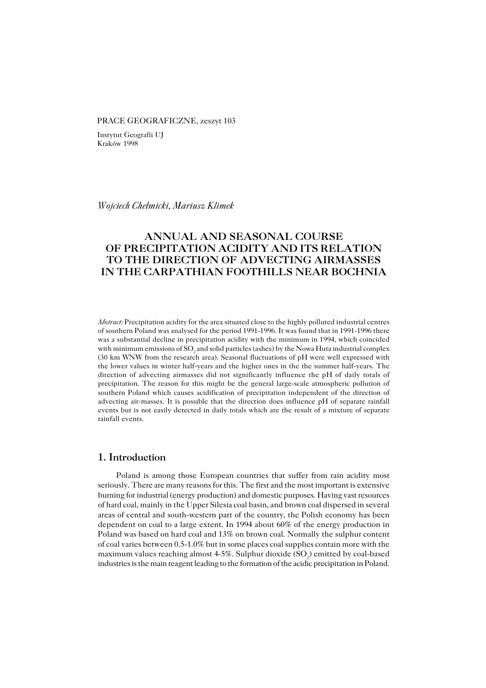#### PRACE GEOGRAFICZNE, zeszyt 103

Instytut Geografii UJ Kraków 1998

*Wojciech Chełmicki, Mariusz Klimek*

# **ANNUAL AND SEASONAL COURSE OF PRECIPITATION ACIDITY AND ITS RELATION TO THE DIRECTION OF ADVECTING AIRMASSES IN THE CARPATHIAN FOOTHILLS NEAR BOCHNIA**

*Abstract:* Precipitation acidity for the area situated close to the highly polluted industrial centres of southern Poland was analysed for the period 1991−1996. It was found that in 1991−1996 there was a substantial decline in precipitation acidity with the minimum in 1994, which coincided with minimum emissions of  $\mathrm{SO}_2$  and solid particles (ashes) by the Nowa Huta industrial complex (30 km WNW from the research area). Seasonal fluctuations of pH were well expressed with the lower values in winter half−years and the higher ones in the the summer half−years. The direction of advecting airmasses did not significantly influence the pH of daily totals of precipitation. The reason for this might be the general large−scale atmospheric pollution of southern Poland which causes acidification of precipitation independent of the direction of advecting air−masses. It is possible that the direction does influence pH of separate rainfall events but is not easily detected in daily totals which are the result of a mixture of separate rainfall events.

## **1. Introduction**

Poland is among those European countries that suffer from rain acidity most seriously. There are many reasons for this. The first and the most important is extensive burning for industrial (energy production) and domestic purposes. Having vast resources of hard coal, mainly in the Upper Silesia coal basin, and brown coal dispersed in several areas of central and south−western part of the country, the Polish economy has been dependent on coal to a large extent. In 1994 about 60% of the energy production in Poland was based on hard coal and 13% on brown coal. Normally the sulphur content of coal varies between 0.5−1.0% but in some places coal supplies contain more with the maximum values reaching almost 4-5%. Sulphur dioxide (SO<sub>2</sub>) emitted by coal-based industries is the main reagent leading to the formation of the acidic precipitation in Poland.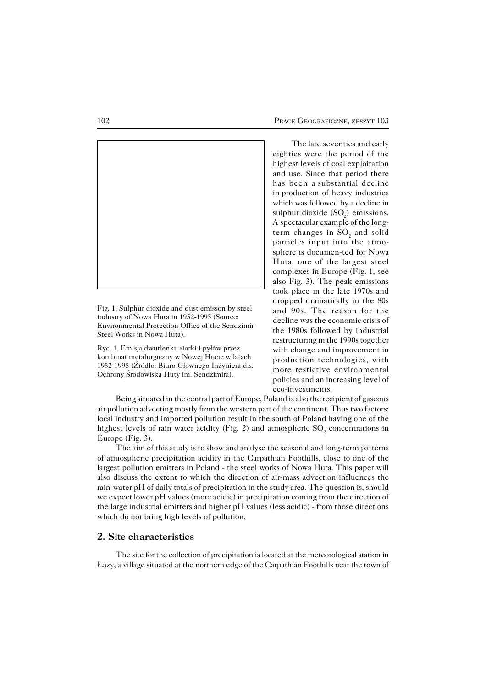

Fig. 1. Sulphur dioxide and dust emisson by steel industry of Nowa Huta in 1952−1995 (Source: Environmental Protection Office of the Sendzimir Steel Works in Nowa Huta).

Ryc. 1. Emisja dwutlenku siarki i pyłów przez kombinat metalurgiczny w Nowej Hucie w latach 1952−1995 (Źródło: Biuro Głównego Inżyniera d.s. Ochrony Środowiska Huty im. Sendzimira).

The late seventies and early eighties were the period of the highest levels of coal exploitation and use. Since that period there has been asubstantial decline in production of heavy industries which was followed by a decline in sulphur dioxide  $(SO_2)$  emissions. Aspectacular example of the long− term changes in  $SO_2$  and solid particles input into the atmo− sphere is documen−ted for Nowa Huta, one of the largest steel complexes in Europe (Fig. 1, see also Fig. 3). The peak emissions took place in the late 1970s and dropped dramatically in the 80s and 90s. The reason for the decline was the economic crisis of the 1980s followed by industrial restructuring in the 1990s together with change and improvement in production technologies, with more restictive environmental policies and an increasing level of eco−investments.

Being situated in the central part of Europe, Poland is also the recipient of gaseous air pollution advecting mostly from the western part of the continent. Thus two factors: local industry and imported pollution result in the south of Poland having one of the highest levels of rain water acidity (Fig. 2) and atmospheric  $\mathrm{SO}_2$  concentrations in Europe (Fig. 3).

The aim of this study is to show and analyse the seasonal and long−term patterns of atmospheric precipitation acidity in the Carpathian Foothills, close to one of the largest pollution emitters in Poland − the steel works of Nowa Huta. This paper will also discuss the extent to which the direction of air−mass advection influences the rain−water pH of daily totals of precipitation in the study area. The question is, should we expect lower pH values (more acidic) in precipitation coming from the direction of the large industrial emitters and higher pH values (less acidic) − from those directions which do not bring high levels of pollution.

## **2. Site characteristics**

The site for the collection of precipitation is located at the meteorological station in Łazy, avillage situated at the northern edge of the Carpathian Foothills near the town of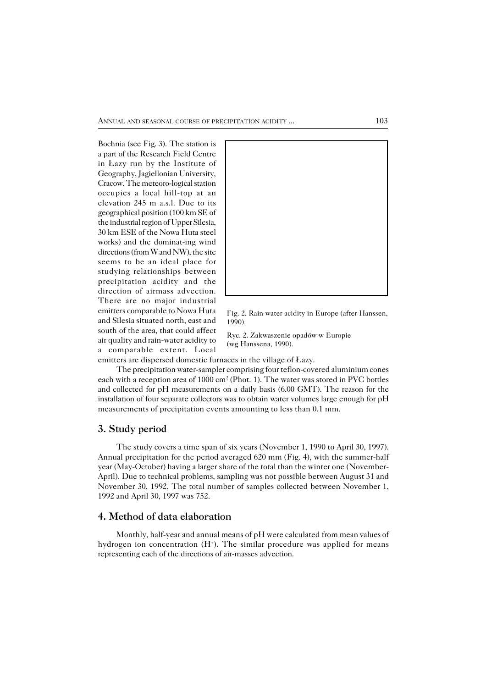Bochnia (see Fig.3). The station is a part of the Research Field Centre in Łazy run by the Institute of Geography, Jagiellonian University, Cracow. The meteoro−logical station occupies a local hill−top at an elevation 245 m a.s.l. Due to its geographical position (100 km SE of the industrial region of Upper Silesia, 30 km ESE of the Nowa Huta steel works) and the dominat−ing wind directions (from W and NW), the site seems to be an ideal place for studying relationships between precipitation acidity and the direction of airmass advection. There are no major industrial emitters comparable to Nowa Huta and Silesia situated north, east and south of the area, that could affect air quality and rain−water acidity to a comparable extent. Local



Fig. 2. Rain water acidity in Europe (after Hanssen, 1990).

Ryc. 2. Zakwaszenie opadów w Europie (wg Hanssena, 1990).

emitters are dispersed domestic furnaces in the village of Łazy.

The precipitation water−sampler comprising four teflon−covered aluminium cones each with a reception area of 1000 cm<sup>2</sup> (Phot. 1). The water was stored in PVC bottles and collected for pH measurements on a daily basis (6.00 GMT). The reason for the installation of four separate collectors was to obtain water volumes large enough for pH measurements of precipitation events amounting to less than 0.1 mm.

## **3. Study period**

The study covers a time span of six years (November 1, 1990 to April 30, 1997). Annual precipitation for the period averaged 620 mm (Fig. 4), with the summer−half year (May−October) having a larger share of the total than the winter one (November− April). Due to technical problems, sampling was not possible between August 31 and November 30, 1992. The total number of samples collected between November 1, 1992 and April 30, 1997 was 752.

## **4. Method of data elaboration**

Monthly, half−year and annual means of pH were calculated from mean values of hydrogen ion concentration  $(H^+)$ . The similar procedure was applied for means representing each of the directions of air−masses advection.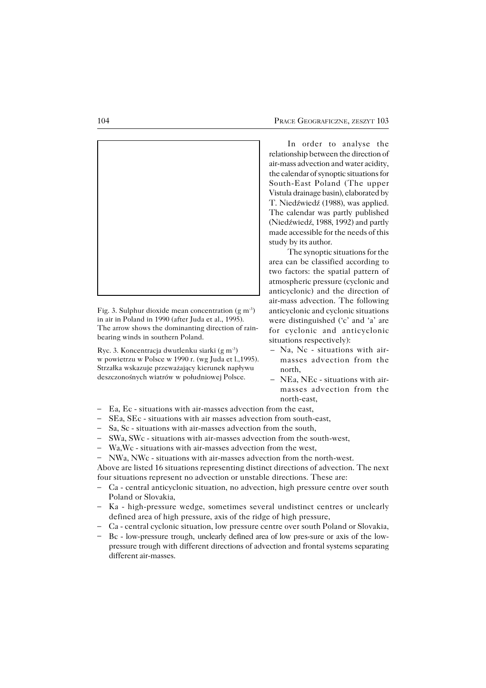

Fig. 3. Sulphur dioxide mean concentration (g m−3) in air in Poland in 1990 (after Juda et al., 1995). The arrow shows the dominanting direction of rain− bearing winds in southern Poland.

Ryc. 3. Koncentracja dwutlenku siarki (g m−3) w powietrzu w Polsce w 1990 r. (wg Juda et l.,1995). Strzałka wskazuje przeważający kierunek napływu deszczonośnych wiatrów w południowej Polsce.

In order to analyse the relationship between the direction of air−mass advection and water acidity, the calendar of synoptic situations for South−East Poland (The upper Vistula drainage basin), elaborated by T. Niedźwiedź (1988), was applied. The calendar was partly published (Niedźwiedź, 1988, 1992) and partly made accessible for the needs of this study by its author.

The synoptic situations for the area can be classified according to two factors: the spatial pattern of atmospheric pressure (cyclonic and anticyclonic) and the direction of air−mass advection. The following anticyclonic and cyclonic situations were distinguished ('c' and 'a' are for cyclonic and anticyclonic situations respectively):

- Na, Nc − situations with air− masses advection from the north,
- NEa, NEc − situations with air− masses advection from the north−east,
- Ea, Ec − situations with air−masses advection from the east, –
- SEa, SEc − situations with air masses advection from south−east, –
- Sa, Sc − situations with air−masses advection from the south, –
- SWa, SWc − situations with air−masses advection from the south−west, –
- Wa,Wc − situations with air−masses advection from the west, –
- NWa, NWc − situations with air−masses advection from the north−west. –

Above are listed 16 situations representing distinct directions of advection. The next four situations represent no advection or unstable directions. These are:

- Ca − central anticyclonic situation, no advection, high pressure centre over south Poland or Slovakia, –
- Ka − high−pressure wedge, sometimes several undistinct centres or unclearly defined area of high pressure, axis of the ridge of high pressure,
- Ca − central cyclonic situation, low pressure centre over south Poland or Slovakia, –
- Bc − low−pressure trough, unclearly defined area of low pres−sure or axis of the low− pressure trough with different directions of advection and frontal systems separating different air−masses. –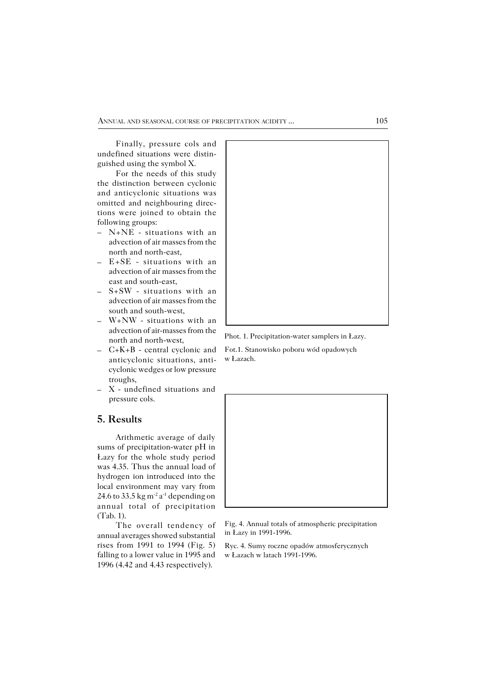Finally, pressure cols and undefined situations were distin− guished using the symbol X.

For the needs of this study the distinction between cyclonic and anticyclonic situations was omitted and neighbouring direc− tions were joined to obtain the following groups:

- N+NE − situations with an advection of air masses from the north and north−east,
- E+SE − situations with an advection of air masses from the east and south−east, –
- S+SW − situations with an advection of air masses from the south and south−west,
- W+NW − situations with an advection of air−masses from the north and north−west,
- C+K+B − central cyclonic and anticyclonic situations, anti− cyclonic wedges or low pressure troughs,
- X − undefined situations and –pressure cols.

## **5. Results**

Arithmetic average of daily sums of precipitation−water pH in Łazy for the whole study period was 4.35. Thus the annual load of hydrogen ion introduced into the local environment may vary from 24.6 to 33.5 kg m<sup>-2</sup> a<sup>-1</sup> depending on annual total of precipitation (Tab.1).

The overall tendency of annual averages showed substantial rises from 1991 to 1994 (Fig. 5) falling to a lower value in 1995 and 1996 (4.42 and 4.43 respectively).



Phot. 1. Precipitation−water samplers in Łazy.

Fot.1. Stanowisko poboru wód opadowych w Łazach.



Fig. 4. Annual totals of atmospheric precipitation in Łazy in 1991−1996.

Ryc. 4. Sumy roczne opadów atmosferycznych w Łazach w latach 1991−1996.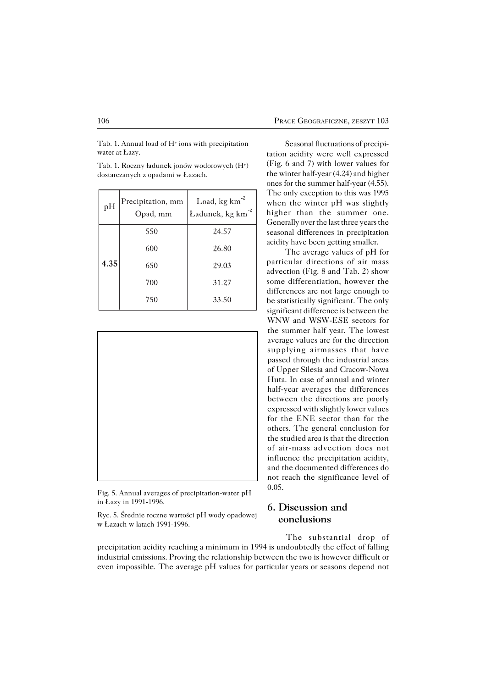Tab. 1. Annual load of H<sup>+</sup> ions with precipitation water at Łazy.

Tab. 1. Roczny ładunek jonów wodorowych (H<sup>+</sup> ) dostarczanych z opadami w Łazach.

| pH   | Precipitation, mm<br>Opad, mm | Load, kg km <sup>2</sup><br>Ładunek, kg km <sup>2</sup> |
|------|-------------------------------|---------------------------------------------------------|
|      | 550                           | 24.57                                                   |
| 4.35 | 600                           | 26.80                                                   |
|      | 650                           | 29.03                                                   |
|      | 700                           | 31.27                                                   |
|      | 750                           | 33.50                                                   |



Fig. 5. Annual averages of precipitation−water pH in Łazy in 1991−1996.

Ryc. 5. Średnie roczne wartości pH wody opadowej w Łazach w latach 1991−1996.

Seasonal fluctuations of precipi− tation acidity were well expressed (Fig. 6 and 7) with lower values for the winter half−year (4.24) and higher ones for the summer half−year (4.55). The only exception to this was 1995 when the winter pH was slightly higher than the summer one. Generally over the last three years the seasonal differences in precipitation acidity have been getting smaller.

The average values of pH for particular directions of air mass advection (Fig. 8 and Tab. 2) show some differentiation, however the differences are not large enough to be statistically significant. The only significant difference is between the WNW and WSW−ESE sectors for the summer half year. The lowest average values are for the direction supplying airmasses that have passed through the industrial areas of Upper Silesia and Cracow−Nowa Huta. In case of annual and winter half−year averages the differences between the directions are poorly expressed with slightly lower values for the ENE sector than for the others. The general conclusion for the studied area is that the direction of air−mass advection does not influence the precipitation acidity, and the documented differences do not reach the significance level of 0.05.

## **6. Discussion and conclusions**

The substantial drop of precipitation acidity reaching a minimum in 1994 is undoubtedly the effect of falling industrial emissions. Proving the relationship between the two is however difficult or even impossible. The average pH values for particular years or seasons depend not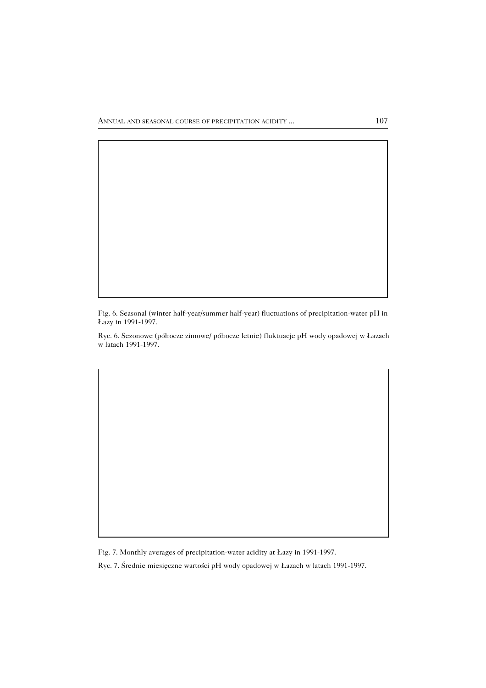Fig. 6. Seasonal (winter half−year/summer half−year) fluctuations of precipitation−water pH in Łazy in 1991−1997.

Ryc. 6. Sezonowe (półrocze zimowe/ półrocze letnie) fluktuacje pH wody opadowej w Łazach w latach 1991−1997.

Fig. 7. Monthly averages of precipitation−water acidity at Łazy in 1991−1997.

Ryc. 7. Średnie miesięczne wartości pH wody opadowej w Łazach w latach 1991−1997.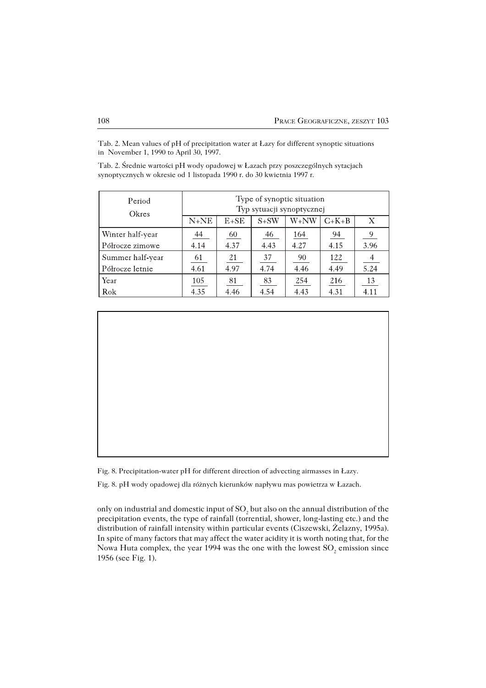Tab. 2. Mean values of pH of precipitation water at Łazy for different synoptic situations in November 1, 1990 to April 30, 1997.

Tab. 2. Średnie wartości pH wody opadowej w Łazach przy poszczególnych sytacjach synoptycznych w okresie od 1 listopada 1990 r. do 30 kwietnia 1997 r.

| Period<br>Okres  | Type of synoptic situation<br>Typ sytuacji synoptycznej |        |                |             |                |               |
|------------------|---------------------------------------------------------|--------|----------------|-------------|----------------|---------------|
|                  | $N+NE$                                                  | $E+SE$ | $S+SW$         | W+NW        | $C+K+B$        | Χ             |
| Winter half-year | $\frac{44}{1}$                                          | 60     | $\frac{46}{1}$ | <u> 164</u> | $\frac{94}{9}$ | $\frac{9}{2}$ |
| Półrocze zimowe  | 4.14                                                    | 4.37   | 4.43           | 4.27        | 4.15           | 3.96          |
| Summer half-year | $\underline{61}$                                        | 21     | 37             | 90          | 122            | $\frac{4}{1}$ |
| Półrocze letnie  | 4.61                                                    | 4.97   | 4.74           | 4.46        | 4.49           | 5.24          |
| Year             | 105                                                     | 81     | 83             | 254         | 216            | 13            |
| Rok              | 4.35                                                    | 4.46   | 4.54           | 4.43        | 4.31           | 4.11          |

Fig. 8. Precipitation−water pH for different direction of advecting airmasses in Łazy.

Fig. 8. pH wody opadowej dla różnych kierunków napływu mas powietrza w Łazach.

only on industrial and domestic input of  $\mathrm{SO}_2$  but also on the annual distribution of the precipitation events, the type of rainfall (torrential, shower, long−lasting etc.) and the distribution of rainfall intensity within particular events (Ciszewski, Żelazny, 1995a). In spite of many factors that may affect the water acidity it is worth noting that, for the Nowa Huta complex, the year 1994 was the one with the lowest  $\mathrm{SO}_2$  emission since 1956 (see Fig. 1).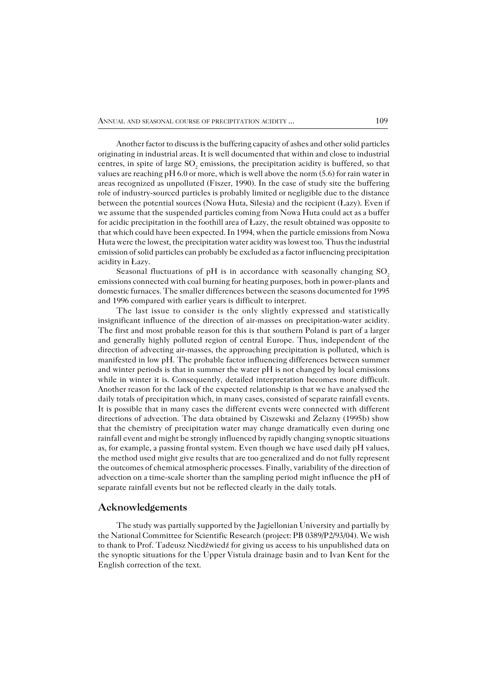Another factor to discuss is the buffering capacity of ashes and other solid particles originating in industrial areas. It is well documented that within and close to industrial centres, in spite of large  $\mathrm{SO}_2$  emissions, the precipitation acidity is buffered, so that values are reaching pH 6.0 or more, which is well above the norm (5.6) for rain water in areas recognized as unpolluted (Fiszer, 1990). In the case of study site the buffering role of industry−sourced particles is probably limited or negligible due to the distance between the potential sources (Nowa Huta, Silesia) and the recipient (Łazy). Even if we assume that the suspended particles coming from Nowa Huta could act as a buffer for acidic precipitation in the foothill area of Łazy, the result obtained was opposite to that which could have been expected. In 1994, when the particle emissions from Nowa Huta were the lowest, the precipitation water acidity was lowest too. Thus the industrial emission of solid particles can probably be excluded as a factor influencing precipitation acidity in Łazy.

Seasonal fluctuations of  $pH$  is in accordance with seasonally changing  $SO<sub>2</sub>$ emissions connected with coal burning for heating purposes, both in power−plants and domestic furnaces. The smaller differences between the seasons documented for 1995 and 1996 compared with earlier years is difficult to interpret.

The last issue to consider is the only slightly expressed and statistically insignificant influence of the direction of air−masses on precipitation−water acidity. The first and most probable reason for this is that southern Poland is part of a larger and generally highly polluted region of central Europe. Thus, independent of the direction of advecting air−masses, the approaching precipitation is polluted, which is manifested in low pH. The probable factor influencing differences between summer and winter periods is that in summer the water pH is not changed by local emissions while in winter it is. Consequently, detailed interpretation becomes more difficult. Another reason for the lack of the expected relationship is that we have analysed the daily totals of precipitation which, in many cases, consisted of separate rainfall events. It is possible that in many cases the different events were connected with different directions of advection. The data obtained by Ciszewski and Żelazny (1995b) show that the chemistry of precipitation water may change dramatically even during one rainfall event and might be strongly influenced by rapidly changing synoptic situations as, for example, a passing frontal system. Even though we have used daily pH values, the method used might give results that are too generalized and do not fully represent the outcomes of chemical atmospheric processes. Finally, variability of the direction of advection on a time−scale shorter than the sampling period might influence the pH of separate rainfall events but not be reflected clearly in the daily totals.

### **Acknowledgements**

The study was partially supported by the Jagiellonian University and partially by the National Committee for Scientific Research (project: PB 0389/P2/93/04). We wish to thank to Prof. Tadeusz Niedźwiedź for giving us access to his unpublished data on the synoptic situations for the Upper Vistula drainage basin and to Ivan Kent for the English correction of the text.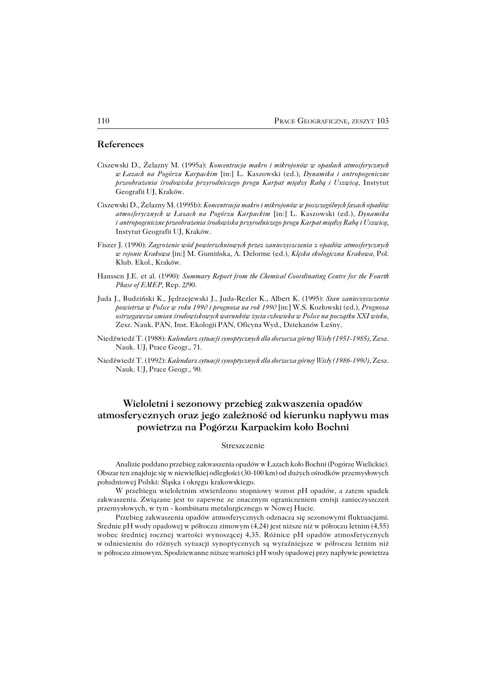#### **References**

- Ciszewski D., Żelazny M. (1995a): *Koncentracja makro i mikrojonów w opadach atmosferycznych wŁazach na Pogórzu Karpackim* [in:] L. Kaszowski (ed.), *Dynamika i antropogeniczne przeobrażenia środowiska przyrodniczego progu Karpat między Rabą i Uszwicą*, Instytut Geografii UJ, Kraków.
- Ciszewski D., Żelazny M. (1995b): *Koncentracja makro i mikrojonów w poszczególnych fazach opadów atmosferycznych w Łazach na Pogórzu Karpackim* [in:] L. Kaszowski (ed.), *Dynamika iantropogeniczne przeobrażenia środowiska przyrodniczego progu Karpat między Rabą i Uszwicą*, Instytut Geografii UJ, Kraków.
- Fiszer J. (1990): *Zagrożenie wód powierzchniowych przez zanieczyszczenia z opadów atmosferycznych w rejonie Krakowa* [in:] M. Gumińska, A. Delorme (ed.), *Klęska ekologiczna Krakowa*, Pol. Klub. Ekol., Kraków.
- Hanssen J.E. et al. (1990): *Summary Report from the Chemical Coordinating Centre for the Fourth Phase of EMEP*, Rep. 2/90.
- Juda J., Budziński K., Jędrzejewski J., Juda−Rezler K., Albert K. (1995): *Stan zanieczyszczenia powietrza w Polsce w roku 1990 i prognoza na rok 1990* [in:] W.S. Kozłowski (ed.), *Prognoza ostrzegawcza zmian środowiskowych warunków życia człowieka w Polsce na początku XXI wieku*, Zesz. Nauk. PAN, Inst. Ekologii PAN, Oficyna Wyd., Dziekanów Leśny.
- Niedźwiedź T. (1988): *Kalendarz sytuacji synoptycznych dla dorzecza górnej Wisły (1951−1985)*, Zesz. Nauk. UJ, Prace Geogr., 71.
- Niedźwiedź T. (1992): *Kalendarz sytuacji synoptycznych dla dorzecza górnej Wisły (1986−1990)*, Zesz. Nauk. UJ, Prace Geogr., 90.

# **Wieloletni i sezonowy przebieg zakwaszenia opadów atmosferycznych oraz jego zależność od kierunku napływu mas powietrza na Pogórzu Karpackim koło Bochni**

#### Streszczenie

Analizie poddano przebieg zakwaszenia opadów w Łazach koło Bochni (Pogórze Wielickie). Obszar ten znajduje się w niewielkiej odległości (30−100 km) od dużych ośrodków przemysłowych południowej Polski: Śląska i okręgu krakowskiego.

W przebiegu wieloletnim stwierdzono stopniowy wzrost pH opadów, a zatem spadek zakwaszenia. Związane jest to zapewne ze znacznym ograniczeniem emisji zanieczyszczeń przemysłowych, w tym − kombinatu metalurgicznego w Nowej Hucie.

Przebieg zakwaszenia opadów atmosferycznych odznacza się sezonowymi fluktuacjami. Średnie pH wody opadowej w półroczu zimowym (4,24) jest niższe niż w półroczu letnim (4,55) wobec średniej rocznej wartości wynoszącej 4,35. Różnice pH opadów atmosferycznych wodniesieniu do różnych sytuacji synoptycznych są wyraźniejsze w półroczu letnim niż wpółroczu zimowym. Spodziewanne niższe wartości pH wody opadowej przy napływie powietrza